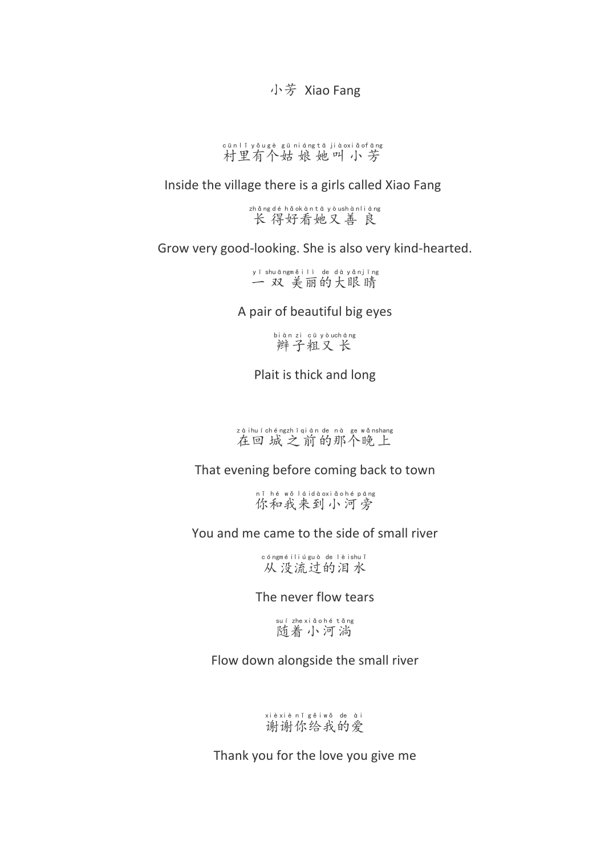小芳 Xiao Fang

cūn|Yyǒugè gūniángtā jiàoxiǎofāng<br>村里有个姑 娘 她叫 小 芳

Inside the village there is a girls called Xiao Fang

长 得好看她又善 良 zhǎng déhǎo kàn tā yòushàn liáng

Grow very good-looking. She is also very kind-hearted.

一 双 美丽的大眼睛 yī shuāng měi lì de dà yǎn jīng

A pair of beautiful big eyes

辫子粗又长 biàn zi cū yòu cháng

Plait is thick and long

zàihuí chéngzhī qián de nà ge wǎnshang<br>在回城之前的那个晚上

That evening before coming back to town

nǐ hé wǒ láidàoxiǎohé páng<br>你和我来到小河旁

You and me came to the side of small river

从没流过的泪水 cóng méi liú guò de lèi shuǐ

The never flow tears

随着小河淌 suí zhe xiǎo hé tǎng

Flow down alongside the small river

谢谢你给我的爱 xiè xiè nǐ gěi wǒ de ài

Thank you for the love you give me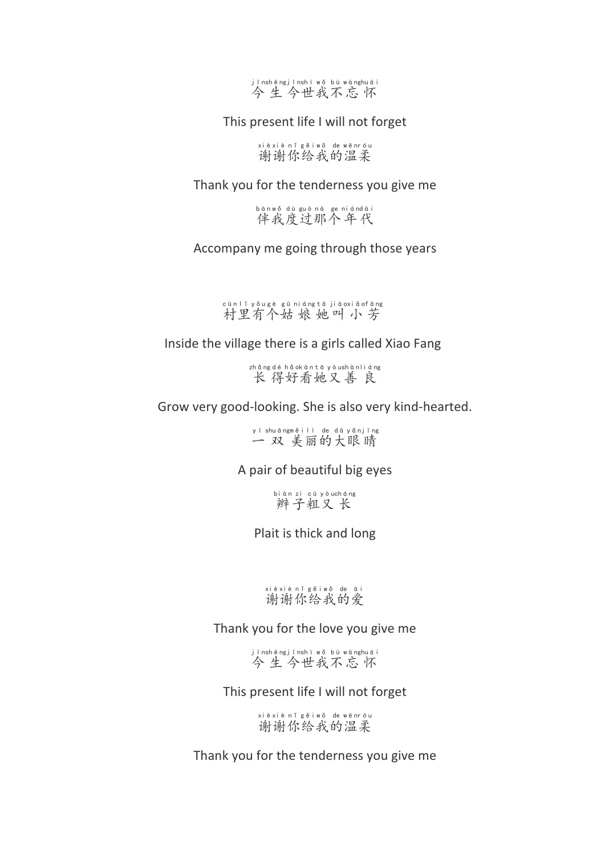

This present life I will not forget

谢谢你给我的温柔 xiè xiè nǐ gěi wǒ de wēn róu

Thank you for the tenderness you give me

伴我度过那个年代 bàn wǒ dù guò nà ge nián dài

Accompany me going through those years

村里有个姑娘她叫小芳 cūn lǐ yǒu gè gū niáng tā jiào xiǎo fāng

Inside the village there is a girls called Xiao Fang

长 得好看她又善 良 zhǎng déhǎo kàn tā yòushàn liáng

Grow very good-looking. She is also very kind-hearted.

一 双 美丽的大眼睛 yī shuāng měi lì de dà yǎn jīng

A pair of beautiful big eyes

辫子粗又长 biàn zi cū yòu cháng

Plait is thick and long

## xièxiènǐ gěiwǒ de ài<br>谢谢你给我的爱

Thank you for the love you give me

jīnshēngjīnshì wǒ bù wànghuái<br>今生今世我不忘 怀

This present life I will not forget

谢谢你给我的温柔 xiè xiè nǐ gěi wǒ de wēn róu

Thank you for the tenderness you give me